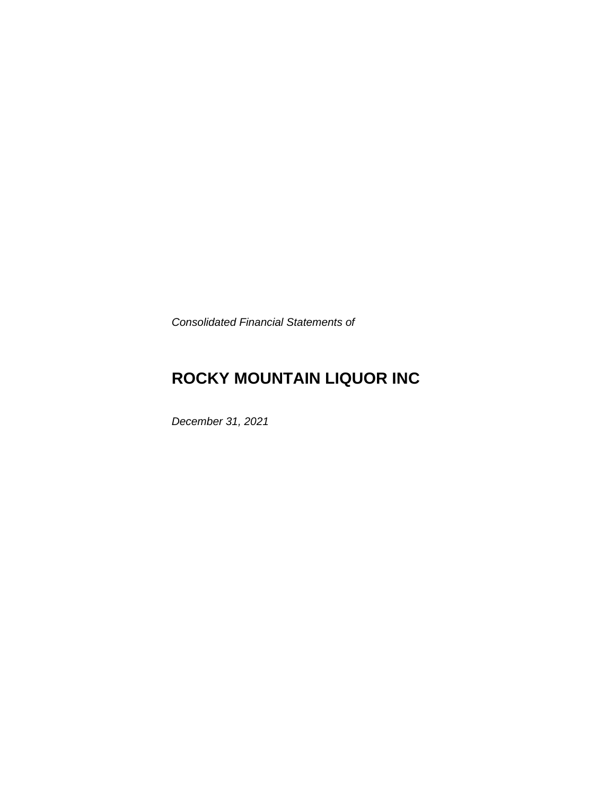*Consolidated Financial Statements of* 

# **ROCKY MOUNTAIN LIQUOR INC**

*December 31, 2021*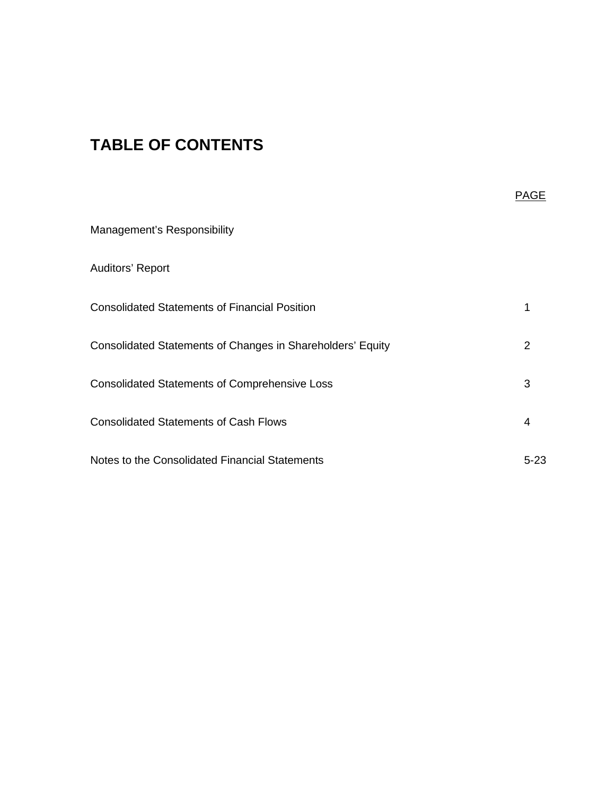# **TABLE OF CONTENTS**

|                                                            | <b>PAGE</b> |
|------------------------------------------------------------|-------------|
| Management's Responsibility                                |             |
| Auditors' Report                                           |             |
| <b>Consolidated Statements of Financial Position</b>       | 1           |
| Consolidated Statements of Changes in Shareholders' Equity | 2           |
| <b>Consolidated Statements of Comprehensive Loss</b>       | 3           |
| <b>Consolidated Statements of Cash Flows</b>               | 4           |
| Notes to the Consolidated Financial Statements             | $5 - 23$    |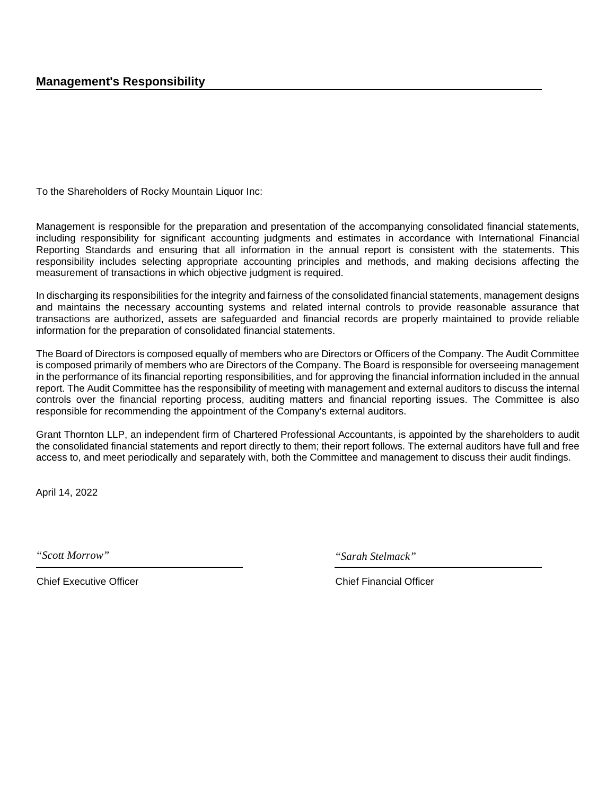To the Shareholders of Rocky Mountain Liquor Inc:

Management is responsible for the preparation and presentation of the accompanying consolidated financial statements, including responsibility for significant accounting judgments and estimates in accordance with International Financial Reporting Standards and ensuring that all information in the annual report is consistent with the statements. This responsibility includes selecting appropriate accounting principles and methods, and making decisions affecting the measurement of transactions in which objective judgment is required.

In discharging its responsibilities for the integrity and fairness of the consolidated financial statements, management designs and maintains the necessary accounting systems and related internal controls to provide reasonable assurance that transactions are authorized, assets are safeguarded and financial records are properly maintained to provide reliable information for the preparation of consolidated financial statements.

The Board of Directors is composed equally of members who are Directors or Officers of the Company. The Audit Committee is composed primarily of members who are Directors of the Company. The Board is responsible for overseeing management in the performance of its financial reporting responsibilities, and for approving the financial information included in the annual report. The Audit Committee has the responsibility of meeting with management and external auditors to discuss the internal controls over the financial reporting process, auditing matters and financial reporting issues. The Committee is also responsible for recommending the appointment of the Company's external auditors.

Grant Thornton LLP, an independent firm of Chartered Professional Accountants, is appointed by the shareholders to audit the consolidated financial statements and report directly to them; their report follows. The external auditors have full and free access to, and meet periodically and separately with, both the Committee and management to discuss their audit findings.

April 14, 2022

*"Scott Morrow" "Sarah Stelmack"* 

Chief Executive Officer Chief Financial Officer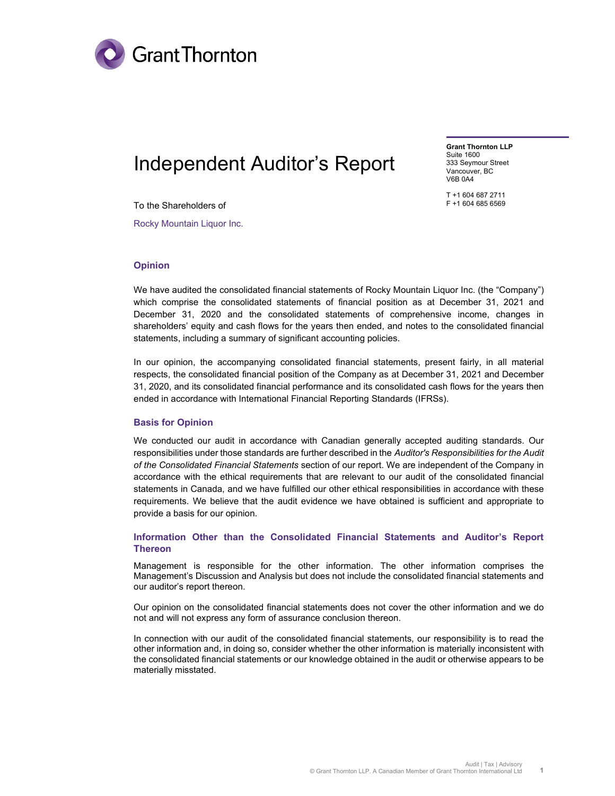

# Independent Auditor's Report

**Grant Thornton LLP** Suite 1600 333 Seymour Street Vancouver, BC V6B 0A4

T +1 604 687 2711 F +1 604 685 6569

To the Shareholders of

Rocky Mountain Liquor Inc.

#### **Opinion**

We have audited the consolidated financial statements of Rocky Mountain Liquor Inc. (the "Company") which comprise the consolidated statements of financial position as at December 31, 2021 and December 31, 2020 and the consolidated statements of comprehensive income, changes in shareholders' equity and cash flows for the years then ended, and notes to the consolidated financial statements, including a summary of significant accounting policies.

In our opinion, the accompanying consolidated financial statements, present fairly, in all material respects, the consolidated financial position of the Company as at December 31, 2021 and December 31, 2020, and its consolidated financial performance and its consolidated cash flows for the years then ended in accordance with International Financial Reporting Standards (IFRSs).

#### **Basis for Opinion**

We conducted our audit in accordance with Canadian generally accepted auditing standards. Our responsibilities under those standards are further described in the *Auditor's Responsibilities for the Audit of the Consolidated Financial Statements* section of our report. We are independent of the Company in accordance with the ethical requirements that are relevant to our audit of the consolidated financial statements in Canada, and we have fulfilled our other ethical responsibilities in accordance with these requirements. We believe that the audit evidence we have obtained is sufficient and appropriate to provide a basis for our opinion.

#### **Information Other than the Consolidated Financial Statements and Auditor's Report Thereon**

Management is responsible for the other information. The other information comprises the Management's Discussion and Analysis but does not include the consolidated financial statements and our auditor's report thereon.

Our opinion on the consolidated financial statements does not cover the other information and we do not and will not express any form of assurance conclusion thereon.

In connection with our audit of the consolidated financial statements, our responsibility is to read the other information and, in doing so, consider whether the other information is materially inconsistent with the consolidated financial statements or our knowledge obtained in the audit or otherwise appears to be materially misstated.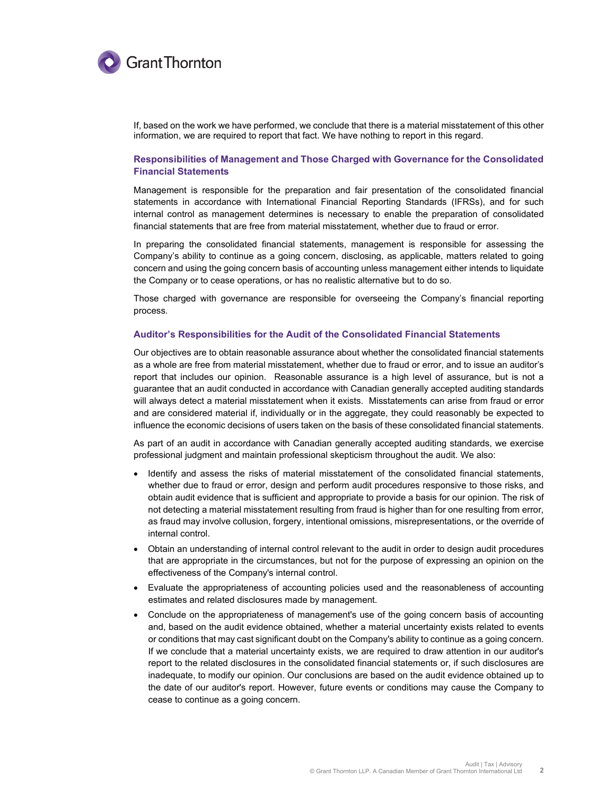

If, based on the work we have performed, we conclude that there is a material misstatement of this other information, we are required to report that fact. We have nothing to report in this regard.

#### **Responsibilities of Management and Those Charged with Governance for the Consolidated Financial Statements**

Management is responsible for the preparation and fair presentation of the consolidated financial statements in accordance with International Financial Reporting Standards (IFRSs), and for such internal control as management determines is necessary to enable the preparation of consolidated financial statements that are free from material misstatement, whether due to fraud or error.

In preparing the consolidated financial statements, management is responsible for assessing the Company's ability to continue as a going concern, disclosing, as applicable, matters related to going concern and using the going concern basis of accounting unless management either intends to liquidate the Company or to cease operations, or has no realistic alternative but to do so.

Those charged with governance are responsible for overseeing the Company's financial reporting process.

#### **Auditor's Responsibilities for the Audit of the Consolidated Financial Statements**

Our objectives are to obtain reasonable assurance about whether the consolidated financial statements as a whole are free from material misstatement, whether due to fraud or error, and to issue an auditor's report that includes our opinion. Reasonable assurance is a high level of assurance, but is not a guarantee that an audit conducted in accordance with Canadian generally accepted auditing standards will always detect a material misstatement when it exists. Misstatements can arise from fraud or error and are considered material if, individually or in the aggregate, they could reasonably be expected to influence the economic decisions of users taken on the basis of these consolidated financial statements.

As part of an audit in accordance with Canadian generally accepted auditing standards, we exercise professional judgment and maintain professional skepticism throughout the audit. We also:

- Identify and assess the risks of material misstatement of the consolidated financial statements, whether due to fraud or error, design and perform audit procedures responsive to those risks, and obtain audit evidence that is sufficient and appropriate to provide a basis for our opinion. The risk of not detecting a material misstatement resulting from fraud is higher than for one resulting from error, as fraud may involve collusion, forgery, intentional omissions, misrepresentations, or the override of internal control.
- Obtain an understanding of internal control relevant to the audit in order to design audit procedures that are appropriate in the circumstances, but not for the purpose of expressing an opinion on the effectiveness of the Company's internal control.
- Evaluate the appropriateness of accounting policies used and the reasonableness of accounting estimates and related disclosures made by management.
- Conclude on the appropriateness of management's use of the going concern basis of accounting and, based on the audit evidence obtained, whether a material uncertainty exists related to events or conditions that may cast significant doubt on the Company's ability to continue as a going concern. If we conclude that a material uncertainty exists, we are required to draw attention in our auditor's report to the related disclosures in the consolidated financial statements or, if such disclosures are inadequate, to modify our opinion. Our conclusions are based on the audit evidence obtained up to the date of our auditor's report. However, future events or conditions may cause the Company to cease to continue as a going concern.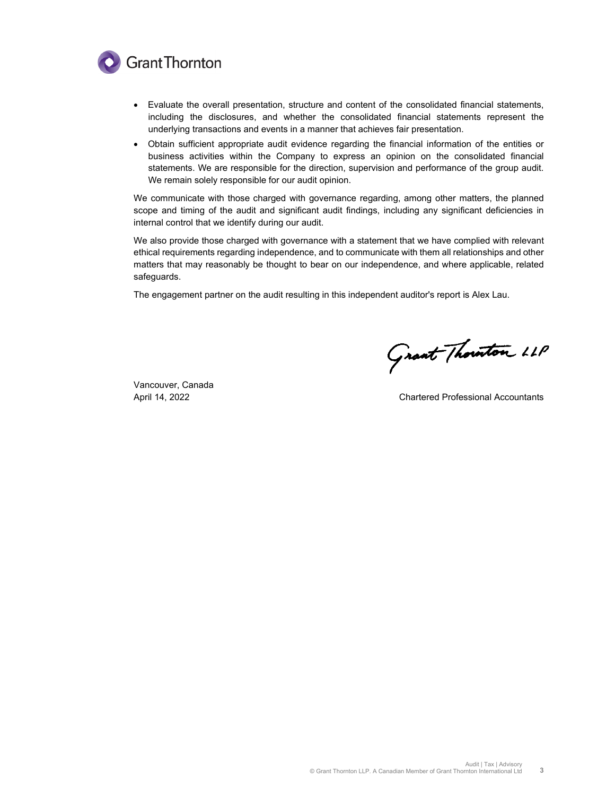

- Evaluate the overall presentation, structure and content of the consolidated financial statements, including the disclosures, and whether the consolidated financial statements represent the underlying transactions and events in a manner that achieves fair presentation.
- Obtain sufficient appropriate audit evidence regarding the financial information of the entities or business activities within the Company to express an opinion on the consolidated financial statements. We are responsible for the direction, supervision and performance of the group audit. We remain solely responsible for our audit opinion.

We communicate with those charged with governance regarding, among other matters, the planned scope and timing of the audit and significant audit findings, including any significant deficiencies in internal control that we identify during our audit.

We also provide those charged with governance with a statement that we have complied with relevant ethical requirements regarding independence, and to communicate with them all relationships and other matters that may reasonably be thought to bear on our independence, and where applicable, related safeguards.

The engagement partner on the audit resulting in this independent auditor's report is Alex Lau.

Grant Thouton LLP

Vancouver, Canada

April 14, 2022 Chartered Professional Accountants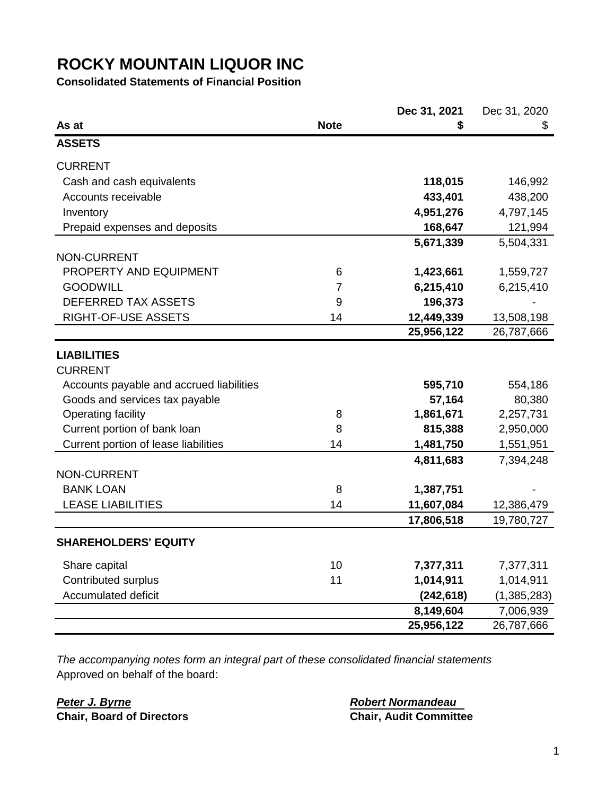**Consolidated Statements of Financial Position**

|                                          |                | Dec 31, 2021 | Dec 31, 2020  |
|------------------------------------------|----------------|--------------|---------------|
| As at                                    | <b>Note</b>    | \$           | \$            |
| <b>ASSETS</b>                            |                |              |               |
| <b>CURRENT</b>                           |                |              |               |
| Cash and cash equivalents                |                | 118,015      | 146,992       |
| Accounts receivable                      |                | 433,401      | 438,200       |
| Inventory                                |                | 4,951,276    | 4,797,145     |
| Prepaid expenses and deposits            |                | 168,647      | 121,994       |
|                                          |                | 5,671,339    | 5,504,331     |
| NON-CURRENT                              |                |              |               |
| PROPERTY AND EQUIPMENT                   | 6              | 1,423,661    | 1,559,727     |
| <b>GOODWILL</b>                          | $\overline{7}$ | 6,215,410    | 6,215,410     |
| DEFERRED TAX ASSETS                      | $\mathsf 9$    | 196,373      |               |
| RIGHT-OF-USE ASSETS                      | 14             | 12,449,339   | 13,508,198    |
|                                          |                | 25,956,122   | 26,787,666    |
| <b>LIABILITIES</b>                       |                |              |               |
| <b>CURRENT</b>                           |                |              |               |
| Accounts payable and accrued liabilities |                | 595,710      | 554,186       |
| Goods and services tax payable           |                | 57,164       | 80,380        |
| Operating facility                       | 8              | 1,861,671    | 2,257,731     |
| Current portion of bank loan             | 8              | 815,388      | 2,950,000     |
| Current portion of lease liabilities     | 14             | 1,481,750    | 1,551,951     |
|                                          |                | 4,811,683    | 7,394,248     |
| NON-CURRENT                              |                |              |               |
| <b>BANK LOAN</b>                         | 8              | 1,387,751    |               |
| <b>LEASE LIABILITIES</b>                 | 14             | 11,607,084   | 12,386,479    |
|                                          |                | 17,806,518   | 19,780,727    |
| <b>SHAREHOLDERS' EQUITY</b>              |                |              |               |
| Share capital                            | 10             | 7,377,311    | 7,377,311     |
| Contributed surplus                      | 11             | 1,014,911    | 1,014,911     |
| <b>Accumulated deficit</b>               |                | (242, 618)   | (1, 385, 283) |
|                                          |                | 8,149,604    | 7,006,939     |
|                                          |                | 25,956,122   | 26,787,666    |

*The accompanying notes form an integral part of these consolidated financial statements* Approved on behalf of the board:

**Peter J. Byrne** *Robert Normandeau* **Chair, Board of Directors Chair, Audit Committee**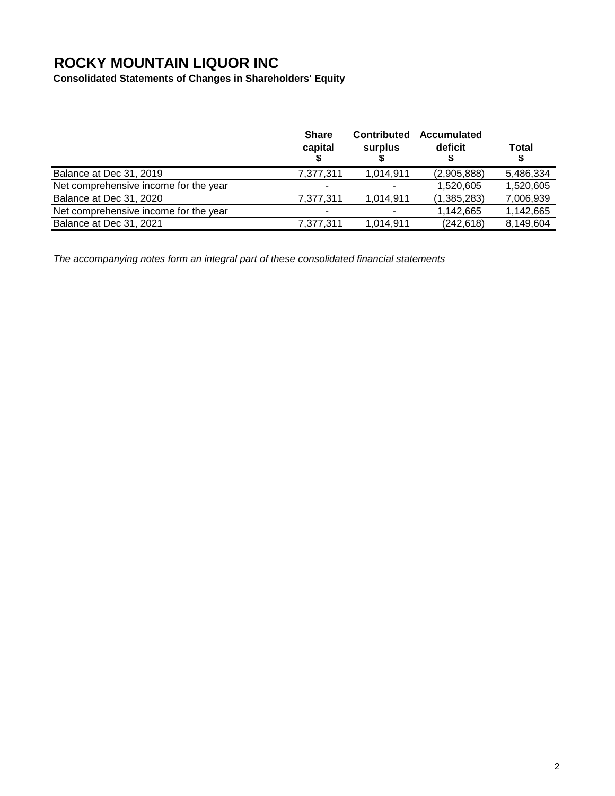**Consolidated Statements of Changes in Shareholders' Equity**

|                                       | <b>Share</b><br>capital | <b>Contributed</b><br>surplus | <b>Accumulated</b><br>deficit | Total<br>\$ |
|---------------------------------------|-------------------------|-------------------------------|-------------------------------|-------------|
| Balance at Dec 31, 2019               | 7,377,311               | 1,014,911                     | (2,905,888)                   | 5,486,334   |
| Net comprehensive income for the year | ۰                       |                               | 1.520.605                     | 1,520,605   |
| Balance at Dec 31, 2020               | 7,377,311               | 1.014.911                     | (1,385,283)                   | 7,006,939   |
| Net comprehensive income for the year |                         |                               | 1,142,665                     | 1,142,665   |
| Balance at Dec 31, 2021               | 7,377,311               | 1.014.911                     | (242, 618)                    | 8.149.604   |

*The accompanying notes form an integral part of these consolidated financial statements*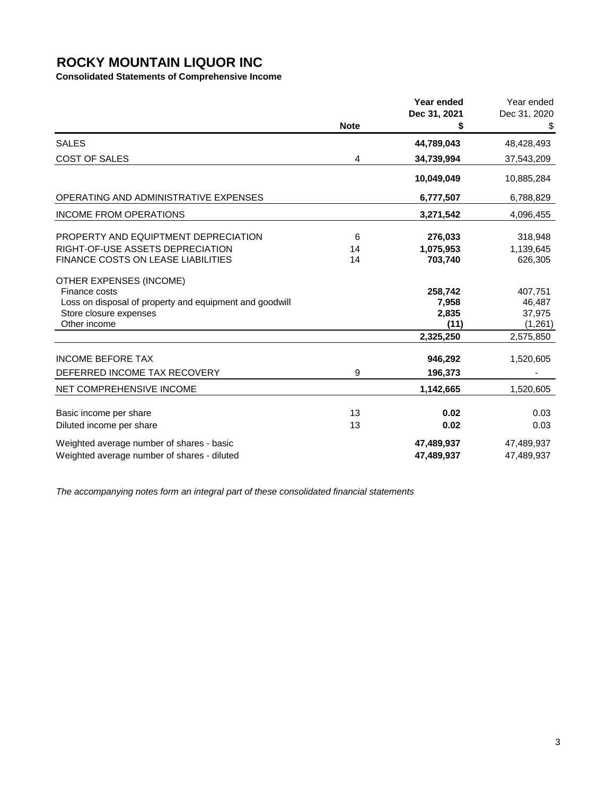**Consolidated Statements of Comprehensive Income**

|                                                         |             | Year ended   | Year ended   |
|---------------------------------------------------------|-------------|--------------|--------------|
|                                                         |             | Dec 31, 2021 | Dec 31, 2020 |
|                                                         | <b>Note</b> | \$           | \$           |
| <b>SALES</b>                                            |             | 44,789,043   | 48,428,493   |
| COST OF SALES                                           | 4           | 34,739,994   | 37,543,209   |
|                                                         |             | 10,049,049   | 10,885,284   |
| OPERATING AND ADMINISTRATIVE EXPENSES                   |             | 6,777,507    | 6,788,829    |
| <b>INCOME FROM OPERATIONS</b>                           |             | 3,271,542    | 4,096,455    |
| PROPERTY AND EQUIPTMENT DEPRECIATION                    | 6           | 276,033      | 318,948      |
| RIGHT-OF-USE ASSETS DEPRECIATION                        | 14          | 1,075,953    | 1,139,645    |
| <b>FINANCE COSTS ON LEASE LIABILITIES</b>               | 14          | 703,740      | 626,305      |
| OTHER EXPENSES (INCOME)                                 |             |              |              |
| Finance costs                                           |             | 258,742      | 407,751      |
| Loss on disposal of property and equipment and goodwill |             | 7,958        | 46,487       |
| Store closure expenses                                  |             | 2,835        | 37,975       |
| Other income                                            |             | (11)         | (1,261)      |
|                                                         |             | 2,325,250    | 2,575,850    |
| <b>INCOME BEFORE TAX</b>                                |             | 946,292      | 1,520,605    |
| DEFERRED INCOME TAX RECOVERY                            | 9           | 196,373      |              |
| NET COMPREHENSIVE INCOME                                |             | 1,142,665    | 1,520,605    |
| Basic income per share                                  | 13          | 0.02         | 0.03         |
| Diluted income per share                                | 13          | 0.02         | 0.03         |
| Weighted average number of shares - basic               |             | 47,489,937   | 47,489,937   |
| Weighted average number of shares - diluted             |             | 47.489.937   | 47,489,937   |

*The accompanying notes form an integral part of these consolidated financial statements*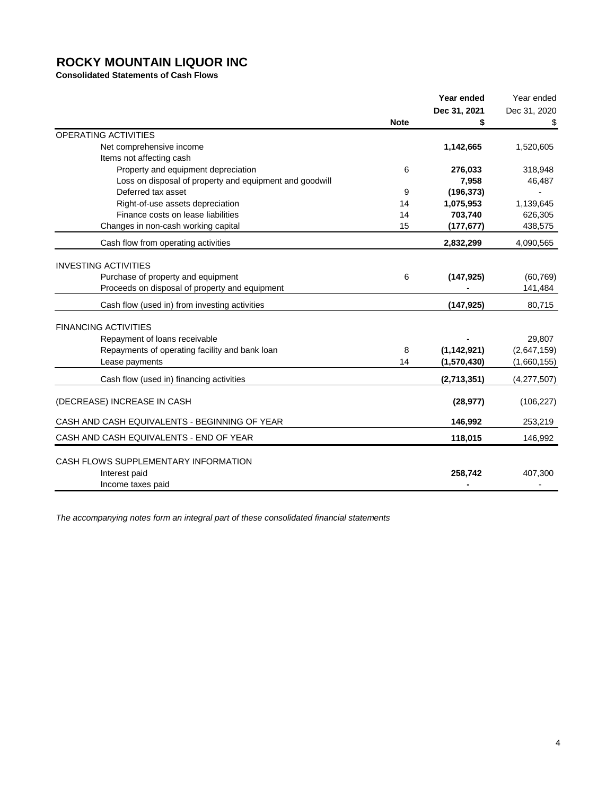**Consolidated Statements of Cash Flows**

|                                                         |             | Year ended    | Year ended   |
|---------------------------------------------------------|-------------|---------------|--------------|
|                                                         |             | Dec 31, 2021  | Dec 31, 2020 |
|                                                         | <b>Note</b> | \$            | \$           |
| <b>OPERATING ACTIVITIES</b>                             |             |               |              |
| Net comprehensive income                                |             | 1,142,665     | 1,520,605    |
| Items not affecting cash                                |             |               |              |
| Property and equipment depreciation                     | 6           | 276,033       | 318,948      |
| Loss on disposal of property and equipment and goodwill |             | 7,958         | 46,487       |
| Deferred tax asset                                      | 9           | (196, 373)    |              |
| Right-of-use assets depreciation                        | 14          | 1,075,953     | 1,139,645    |
| Finance costs on lease liabilities                      | 14          | 703,740       | 626,305      |
| Changes in non-cash working capital                     | 15          | (177, 677)    | 438,575      |
| Cash flow from operating activities                     |             | 2,832,299     | 4,090,565    |
| <b>INVESTING ACTIVITIES</b>                             |             |               |              |
| Purchase of property and equipment                      | 6           | (147, 925)    | (60, 769)    |
| Proceeds on disposal of property and equipment          |             |               | 141,484      |
| Cash flow (used in) from investing activities           |             | (147, 925)    | 80,715       |
|                                                         |             |               |              |
| <b>FINANCING ACTIVITIES</b>                             |             |               |              |
| Repayment of loans receivable                           |             |               | 29,807       |
| Repayments of operating facility and bank loan          | 8           | (1, 142, 921) | (2,647,159)  |
| Lease payments                                          | 14          | (1,570,430)   | (1,660,155)  |
| Cash flow (used in) financing activities                |             | (2,713,351)   | (4,277,507)  |
| (DECREASE) INCREASE IN CASH                             |             | (28, 977)     | (106, 227)   |
| CASH AND CASH EQUIVALENTS - BEGINNING OF YEAR           |             | 146,992       | 253,219      |
| CASH AND CASH EQUIVALENTS - END OF YEAR                 |             | 118,015       | 146,992      |
| CASH FLOWS SUPPLEMENTARY INFORMATION                    |             |               |              |
| Interest paid<br>Income taxes paid                      |             | 258,742       | 407,300      |

*The accompanying notes form an integral part of these consolidated financial statements*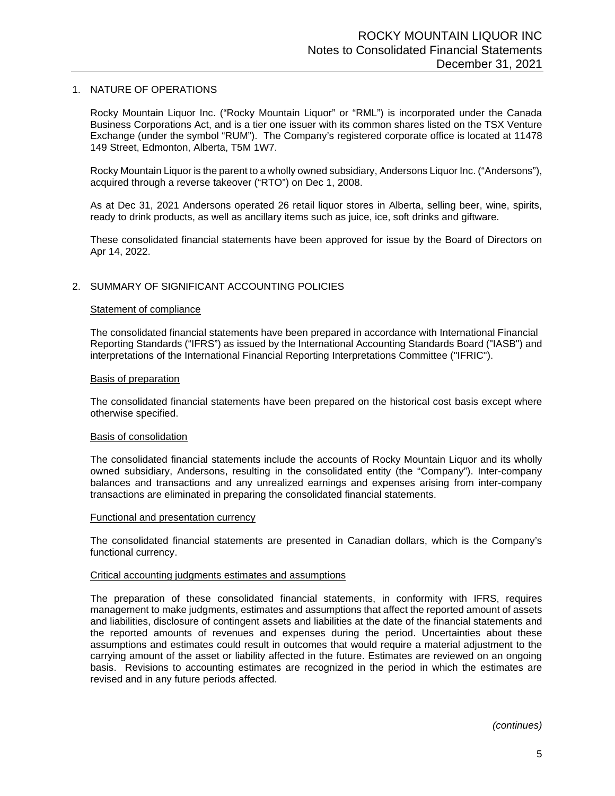#### 1. NATURE OF OPERATIONS

Rocky Mountain Liquor Inc. ("Rocky Mountain Liquor" or "RML") is incorporated under the Canada Business Corporations Act, and is a tier one issuer with its common shares listed on the TSX Venture Exchange (under the symbol "RUM"). The Company's registered corporate office is located at 11478 149 Street, Edmonton, Alberta, T5M 1W7.

Rocky Mountain Liquor is the parent to a wholly owned subsidiary, Andersons Liquor Inc. ("Andersons"), acquired through a reverse takeover ("RTO") on Dec 1, 2008.

As at Dec 31, 2021 Andersons operated 26 retail liquor stores in Alberta, selling beer, wine, spirits, ready to drink products, as well as ancillary items such as juice, ice, soft drinks and giftware.

These consolidated financial statements have been approved for issue by the Board of Directors on Apr 14, 2022.

#### 2. SUMMARY OF SIGNIFICANT ACCOUNTING POLICIES

#### Statement of compliance

The consolidated financial statements have been prepared in accordance with International Financial Reporting Standards ("IFRS") as issued by the International Accounting Standards Board ("IASB") and interpretations of the International Financial Reporting Interpretations Committee ("IFRIC").

#### Basis of preparation

The consolidated financial statements have been prepared on the historical cost basis except where otherwise specified.

#### Basis of consolidation

The consolidated financial statements include the accounts of Rocky Mountain Liquor and its wholly owned subsidiary, Andersons, resulting in the consolidated entity (the "Company"). Inter-company balances and transactions and any unrealized earnings and expenses arising from inter-company transactions are eliminated in preparing the consolidated financial statements.

#### Functional and presentation currency

The consolidated financial statements are presented in Canadian dollars, which is the Company's functional currency.

#### Critical accounting judgments estimates and assumptions

The preparation of these consolidated financial statements, in conformity with IFRS, requires management to make judgments, estimates and assumptions that affect the reported amount of assets and liabilities, disclosure of contingent assets and liabilities at the date of the financial statements and the reported amounts of revenues and expenses during the period. Uncertainties about these assumptions and estimates could result in outcomes that would require a material adjustment to the carrying amount of the asset or liability affected in the future. Estimates are reviewed on an ongoing basis. Revisions to accounting estimates are recognized in the period in which the estimates are revised and in any future periods affected.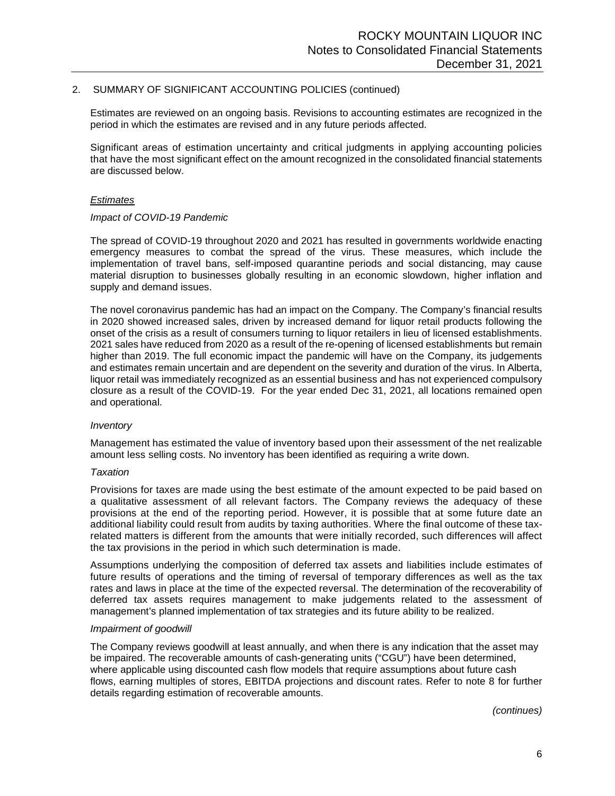Estimates are reviewed on an ongoing basis. Revisions to accounting estimates are recognized in the period in which the estimates are revised and in any future periods affected.

Significant areas of estimation uncertainty and critical judgments in applying accounting policies that have the most significant effect on the amount recognized in the consolidated financial statements are discussed below.

#### *Estimates*

#### *Impact of COVID-19 Pandemic*

The spread of COVID-19 throughout 2020 and 2021 has resulted in governments worldwide enacting emergency measures to combat the spread of the virus. These measures, which include the implementation of travel bans, self-imposed quarantine periods and social distancing, may cause material disruption to businesses globally resulting in an economic slowdown, higher inflation and supply and demand issues.

The novel coronavirus pandemic has had an impact on the Company. The Company's financial results in 2020 showed increased sales, driven by increased demand for liquor retail products following the onset of the crisis as a result of consumers turning to liquor retailers in lieu of licensed establishments. 2021 sales have reduced from 2020 as a result of the re-opening of licensed establishments but remain higher than 2019. The full economic impact the pandemic will have on the Company, its judgements and estimates remain uncertain and are dependent on the severity and duration of the virus. In Alberta, liquor retail was immediately recognized as an essential business and has not experienced compulsory closure as a result of the COVID-19. For the year ended Dec 31, 2021, all locations remained open and operational.

#### *Inventory*

Management has estimated the value of inventory based upon their assessment of the net realizable amount less selling costs. No inventory has been identified as requiring a write down.

#### *Taxation*

Provisions for taxes are made using the best estimate of the amount expected to be paid based on a qualitative assessment of all relevant factors. The Company reviews the adequacy of these provisions at the end of the reporting period. However, it is possible that at some future date an additional liability could result from audits by taxing authorities. Where the final outcome of these taxrelated matters is different from the amounts that were initially recorded, such differences will affect the tax provisions in the period in which such determination is made.

Assumptions underlying the composition of deferred tax assets and liabilities include estimates of future results of operations and the timing of reversal of temporary differences as well as the tax rates and laws in place at the time of the expected reversal. The determination of the recoverability of deferred tax assets requires management to make judgements related to the assessment of management's planned implementation of tax strategies and its future ability to be realized.

#### *Impairment of goodwill*

The Company reviews goodwill at least annually, and when there is any indication that the asset may be impaired. The recoverable amounts of cash-generating units ("CGU") have been determined, where applicable using discounted cash flow models that require assumptions about future cash flows, earning multiples of stores, EBITDA projections and discount rates. Refer to note 8 for further details regarding estimation of recoverable amounts.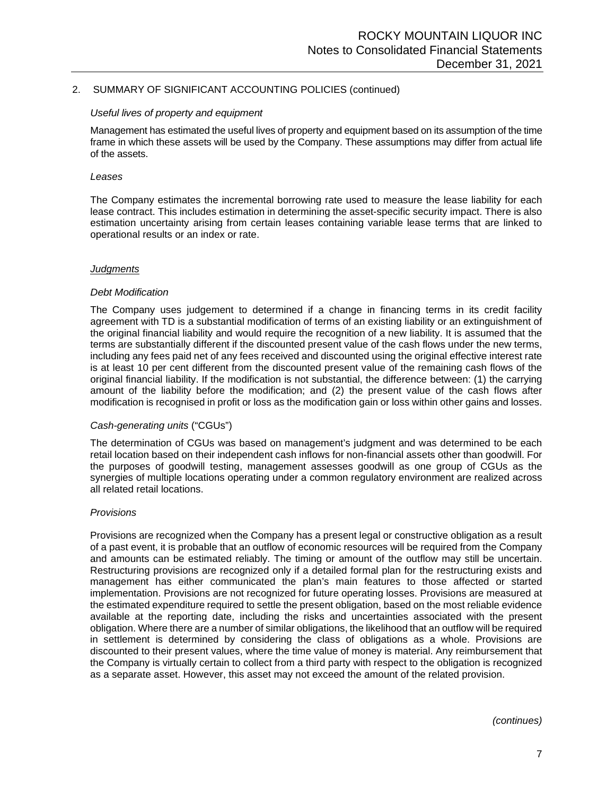#### *Useful lives of property and equipment*

Management has estimated the useful lives of property and equipment based on its assumption of the time frame in which these assets will be used by the Company. These assumptions may differ from actual life of the assets.

#### *Leases*

The Company estimates the incremental borrowing rate used to measure the lease liability for each lease contract. This includes estimation in determining the asset-specific security impact. There is also estimation uncertainty arising from certain leases containing variable lease terms that are linked to operational results or an index or rate.

#### *Judgments*

#### *Debt Modification*

The Company uses judgement to determined if a change in financing terms in its credit facility agreement with TD is a substantial modification of terms of an existing liability or an extinguishment of the original financial liability and would require the recognition of a new liability. It is assumed that the terms are substantially different if the discounted present value of the cash flows under the new terms, including any fees paid net of any fees received and discounted using the original effective interest rate is at least 10 per cent different from the discounted present value of the remaining cash flows of the original financial liability. If the modification is not substantial, the difference between: (1) the carrying amount of the liability before the modification; and (2) the present value of the cash flows after modification is recognised in profit or loss as the modification gain or loss within other gains and losses.

#### *Cash-generating units* ("CGUs")

The determination of CGUs was based on management's judgment and was determined to be each retail location based on their independent cash inflows for non-financial assets other than goodwill. For the purposes of goodwill testing, management assesses goodwill as one group of CGUs as the synergies of multiple locations operating under a common regulatory environment are realized across all related retail locations.

#### *Provisions*

Provisions are recognized when the Company has a present legal or constructive obligation as a result of a past event, it is probable that an outflow of economic resources will be required from the Company and amounts can be estimated reliably. The timing or amount of the outflow may still be uncertain. Restructuring provisions are recognized only if a detailed formal plan for the restructuring exists and management has either communicated the plan's main features to those affected or started implementation. Provisions are not recognized for future operating losses. Provisions are measured at the estimated expenditure required to settle the present obligation, based on the most reliable evidence available at the reporting date, including the risks and uncertainties associated with the present obligation. Where there are a number of similar obligations, the likelihood that an outflow will be required in settlement is determined by considering the class of obligations as a whole. Provisions are discounted to their present values, where the time value of money is material. Any reimbursement that the Company is virtually certain to collect from a third party with respect to the obligation is recognized as a separate asset. However, this asset may not exceed the amount of the related provision.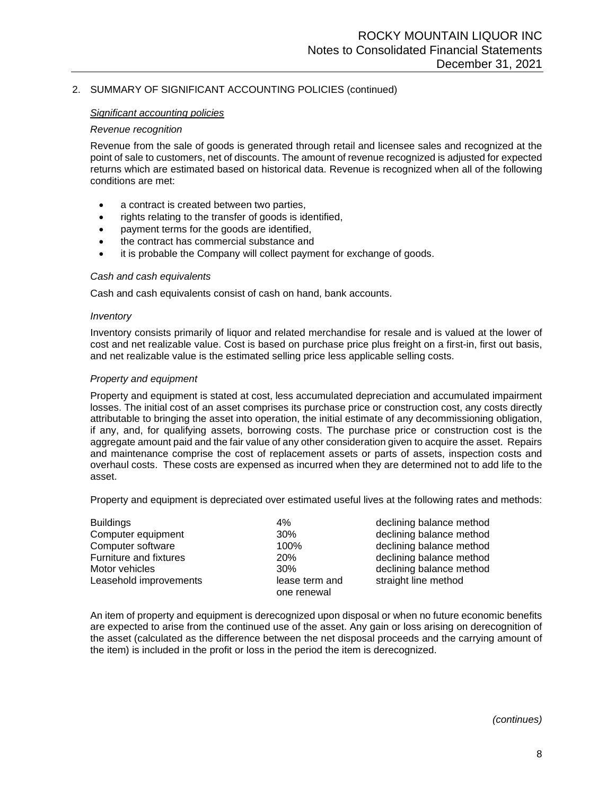#### *Significant accounting policies*

#### *Revenue recognition*

Revenue from the sale of goods is generated through retail and licensee sales and recognized at the point of sale to customers, net of discounts. The amount of revenue recognized is adjusted for expected returns which are estimated based on historical data. Revenue is recognized when all of the following conditions are met:

- a contract is created between two parties,
- rights relating to the transfer of goods is identified,
- payment terms for the goods are identified,
- the contract has commercial substance and
- it is probable the Company will collect payment for exchange of goods.

#### *Cash and cash equivalents*

Cash and cash equivalents consist of cash on hand, bank accounts.

#### *Inventory*

Inventory consists primarily of liquor and related merchandise for resale and is valued at the lower of cost and net realizable value. Cost is based on purchase price plus freight on a first-in, first out basis, and net realizable value is the estimated selling price less applicable selling costs.

#### *Property and equipment*

Property and equipment is stated at cost, less accumulated depreciation and accumulated impairment losses. The initial cost of an asset comprises its purchase price or construction cost, any costs directly attributable to bringing the asset into operation, the initial estimate of any decommissioning obligation, if any, and, for qualifying assets, borrowing costs. The purchase price or construction cost is the aggregate amount paid and the fair value of any other consideration given to acquire the asset. Repairs and maintenance comprise the cost of replacement assets or parts of assets, inspection costs and overhaul costs. These costs are expensed as incurred when they are determined not to add life to the asset.

Property and equipment is depreciated over estimated useful lives at the following rates and methods:

| <b>Buildings</b>       | 4%                            | declining balance method |
|------------------------|-------------------------------|--------------------------|
| Computer equipment     | 30%                           | declining balance method |
| Computer software      | 100%                          | declining balance method |
| Furniture and fixtures | 20%                           | declining balance method |
| Motor vehicles         | 30%                           | declining balance method |
| Leasehold improvements | lease term and<br>one renewal | straight line method     |

An item of property and equipment is derecognized upon disposal or when no future economic benefits are expected to arise from the continued use of the asset. Any gain or loss arising on derecognition of the asset (calculated as the difference between the net disposal proceeds and the carrying amount of the item) is included in the profit or loss in the period the item is derecognized.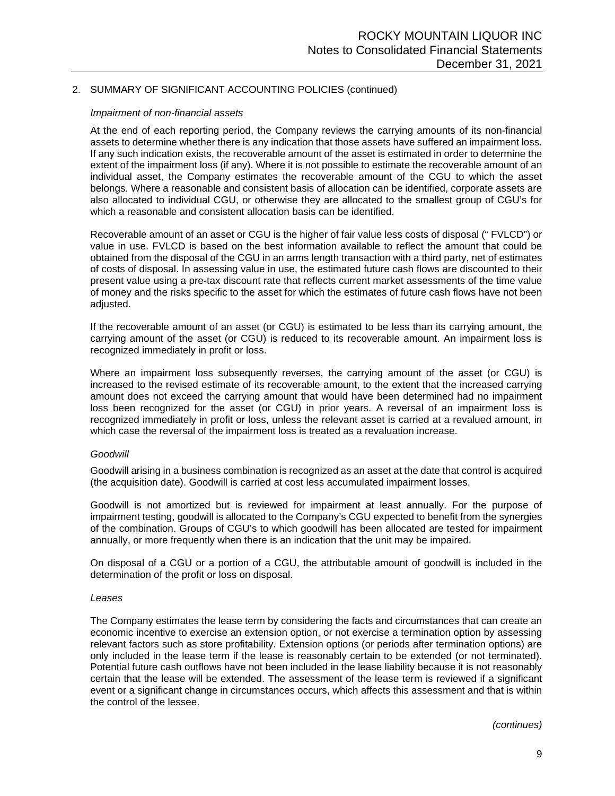#### *Impairment of non-financial assets*

At the end of each reporting period, the Company reviews the carrying amounts of its non-financial assets to determine whether there is any indication that those assets have suffered an impairment loss. If any such indication exists, the recoverable amount of the asset is estimated in order to determine the extent of the impairment loss (if any). Where it is not possible to estimate the recoverable amount of an individual asset, the Company estimates the recoverable amount of the CGU to which the asset belongs. Where a reasonable and consistent basis of allocation can be identified, corporate assets are also allocated to individual CGU, or otherwise they are allocated to the smallest group of CGU's for which a reasonable and consistent allocation basis can be identified.

Recoverable amount of an asset or CGU is the higher of fair value less costs of disposal (" FVLCD") or value in use. FVLCD is based on the best information available to reflect the amount that could be obtained from the disposal of the CGU in an arms length transaction with a third party, net of estimates of costs of disposal. In assessing value in use, the estimated future cash flows are discounted to their present value using a pre-tax discount rate that reflects current market assessments of the time value of money and the risks specific to the asset for which the estimates of future cash flows have not been adjusted.

If the recoverable amount of an asset (or CGU) is estimated to be less than its carrying amount, the carrying amount of the asset (or CGU) is reduced to its recoverable amount. An impairment loss is recognized immediately in profit or loss.

Where an impairment loss subsequently reverses, the carrying amount of the asset (or CGU) is increased to the revised estimate of its recoverable amount, to the extent that the increased carrying amount does not exceed the carrying amount that would have been determined had no impairment loss been recognized for the asset (or CGU) in prior years. A reversal of an impairment loss is recognized immediately in profit or loss, unless the relevant asset is carried at a revalued amount, in which case the reversal of the impairment loss is treated as a revaluation increase.

#### *Goodwill*

Goodwill arising in a business combination is recognized as an asset at the date that control is acquired (the acquisition date). Goodwill is carried at cost less accumulated impairment losses.

Goodwill is not amortized but is reviewed for impairment at least annually. For the purpose of impairment testing, goodwill is allocated to the Company's CGU expected to benefit from the synergies of the combination. Groups of CGU's to which goodwill has been allocated are tested for impairment annually, or more frequently when there is an indication that the unit may be impaired.

On disposal of a CGU or a portion of a CGU, the attributable amount of goodwill is included in the determination of the profit or loss on disposal.

#### *Leases*

The Company estimates the lease term by considering the facts and circumstances that can create an economic incentive to exercise an extension option, or not exercise a termination option by assessing relevant factors such as store profitability. Extension options (or periods after termination options) are only included in the lease term if the lease is reasonably certain to be extended (or not terminated). Potential future cash outflows have not been included in the lease liability because it is not reasonably certain that the lease will be extended. The assessment of the lease term is reviewed if a significant event or a significant change in circumstances occurs, which affects this assessment and that is within the control of the lessee.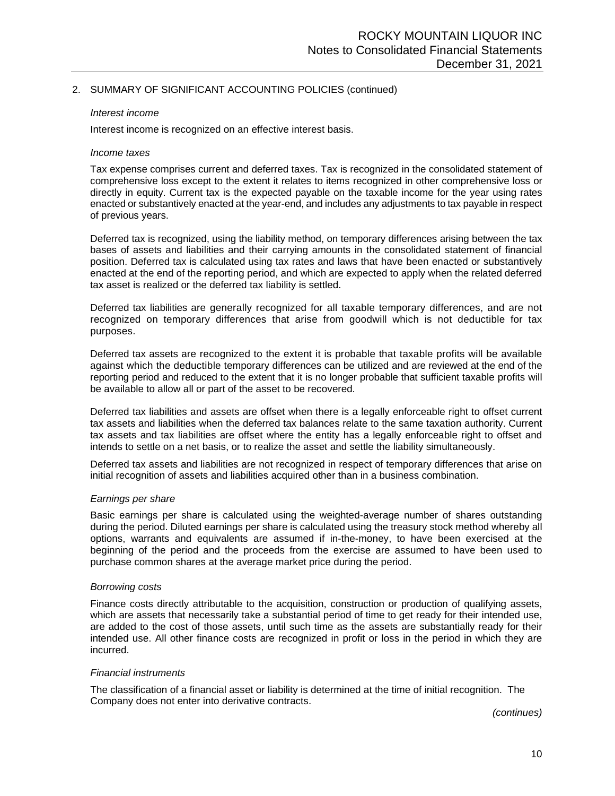#### *Interest income*

Interest income is recognized on an effective interest basis.

#### *Income taxes*

Tax expense comprises current and deferred taxes. Tax is recognized in the consolidated statement of comprehensive loss except to the extent it relates to items recognized in other comprehensive loss or directly in equity. Current tax is the expected payable on the taxable income for the year using rates enacted or substantively enacted at the year-end, and includes any adjustments to tax payable in respect of previous years.

Deferred tax is recognized, using the liability method, on temporary differences arising between the tax bases of assets and liabilities and their carrying amounts in the consolidated statement of financial position. Deferred tax is calculated using tax rates and laws that have been enacted or substantively enacted at the end of the reporting period, and which are expected to apply when the related deferred tax asset is realized or the deferred tax liability is settled.

Deferred tax liabilities are generally recognized for all taxable temporary differences, and are not recognized on temporary differences that arise from goodwill which is not deductible for tax purposes.

Deferred tax assets are recognized to the extent it is probable that taxable profits will be available against which the deductible temporary differences can be utilized and are reviewed at the end of the reporting period and reduced to the extent that it is no longer probable that sufficient taxable profits will be available to allow all or part of the asset to be recovered.

Deferred tax liabilities and assets are offset when there is a legally enforceable right to offset current tax assets and liabilities when the deferred tax balances relate to the same taxation authority. Current tax assets and tax liabilities are offset where the entity has a legally enforceable right to offset and intends to settle on a net basis, or to realize the asset and settle the liability simultaneously.

Deferred tax assets and liabilities are not recognized in respect of temporary differences that arise on initial recognition of assets and liabilities acquired other than in a business combination.

#### *Earnings per share*

Basic earnings per share is calculated using the weighted-average number of shares outstanding during the period. Diluted earnings per share is calculated using the treasury stock method whereby all options, warrants and equivalents are assumed if in-the-money, to have been exercised at the beginning of the period and the proceeds from the exercise are assumed to have been used to purchase common shares at the average market price during the period.

#### *Borrowing costs*

Finance costs directly attributable to the acquisition, construction or production of qualifying assets, which are assets that necessarily take a substantial period of time to get ready for their intended use, are added to the cost of those assets, until such time as the assets are substantially ready for their intended use. All other finance costs are recognized in profit or loss in the period in which they are incurred.

#### *Financial instruments*

The classification of a financial asset or liability is determined at the time of initial recognition. The Company does not enter into derivative contracts.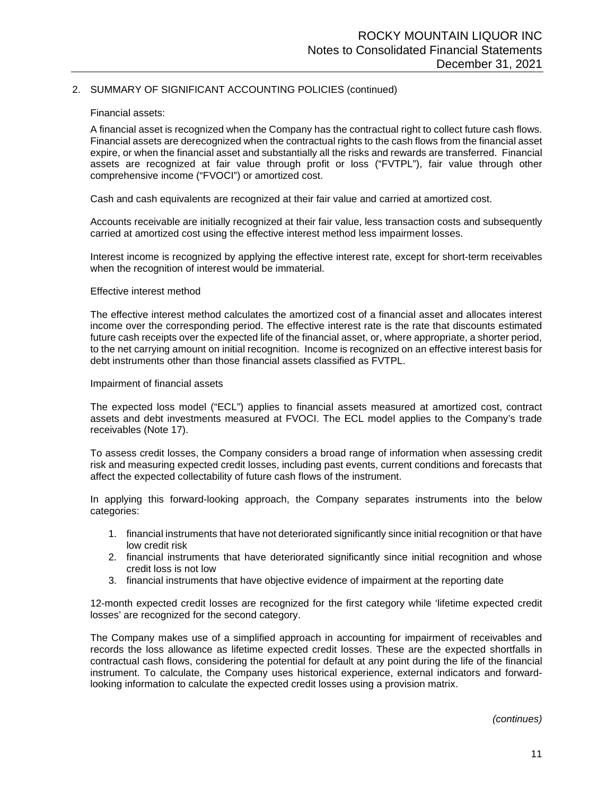Financial assets:

A financial asset is recognized when the Company has the contractual right to collect future cash flows. Financial assets are derecognized when the contractual rights to the cash flows from the financial asset expire, or when the financial asset and substantially all the risks and rewards are transferred. Financial assets are recognized at fair value through profit or loss ("FVTPL"), fair value through other comprehensive income ("FVOCI") or amortized cost.

Cash and cash equivalents are recognized at their fair value and carried at amortized cost.

Accounts receivable are initially recognized at their fair value, less transaction costs and subsequently carried at amortized cost using the effective interest method less impairment losses.

Interest income is recognized by applying the effective interest rate, except for short-term receivables when the recognition of interest would be immaterial.

#### Effective interest method

The effective interest method calculates the amortized cost of a financial asset and allocates interest income over the corresponding period. The effective interest rate is the rate that discounts estimated future cash receipts over the expected life of the financial asset, or, where appropriate, a shorter period, to the net carrying amount on initial recognition. Income is recognized on an effective interest basis for debt instruments other than those financial assets classified as FVTPL.

#### Impairment of financial assets

The expected loss model ("ECL") applies to financial assets measured at amortized cost, contract assets and debt investments measured at FVOCI. The ECL model applies to the Company's trade receivables (Note 17).

To assess credit losses, the Company considers a broad range of information when assessing credit risk and measuring expected credit losses, including past events, current conditions and forecasts that affect the expected collectability of future cash flows of the instrument.

In applying this forward-looking approach, the Company separates instruments into the below categories:

- 1. financial instruments that have not deteriorated significantly since initial recognition or that have low credit risk
- 2. financial instruments that have deteriorated significantly since initial recognition and whose credit loss is not low
- 3. financial instruments that have objective evidence of impairment at the reporting date

12-month expected credit losses are recognized for the first category while 'lifetime expected credit losses' are recognized for the second category.

The Company makes use of a simplified approach in accounting for impairment of receivables and records the loss allowance as lifetime expected credit losses. These are the expected shortfalls in contractual cash flows, considering the potential for default at any point during the life of the financial instrument. To calculate, the Company uses historical experience, external indicators and forwardlooking information to calculate the expected credit losses using a provision matrix.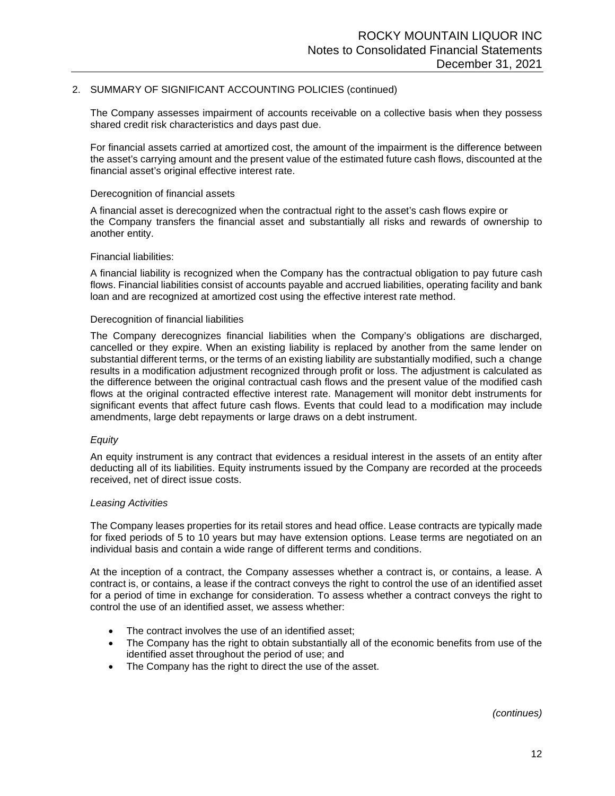The Company assesses impairment of accounts receivable on a collective basis when they possess shared credit risk characteristics and days past due.

For financial assets carried at amortized cost, the amount of the impairment is the difference between the asset's carrying amount and the present value of the estimated future cash flows, discounted at the financial asset's original effective interest rate.

#### Derecognition of financial assets

A financial asset is derecognized when the contractual right to the asset's cash flows expire or the Company transfers the financial asset and substantially all risks and rewards of ownership to another entity.

#### Financial liabilities:

A financial liability is recognized when the Company has the contractual obligation to pay future cash flows. Financial liabilities consist of accounts payable and accrued liabilities, operating facility and bank loan and are recognized at amortized cost using the effective interest rate method.

#### Derecognition of financial liabilities

The Company derecognizes financial liabilities when the Company's obligations are discharged, cancelled or they expire. When an existing liability is replaced by another from the same lender on substantial different terms, or the terms of an existing liability are substantially modified, such a change results in a modification adjustment recognized through profit or loss. The adjustment is calculated as the difference between the original contractual cash flows and the present value of the modified cash flows at the original contracted effective interest rate. Management will monitor debt instruments for significant events that affect future cash flows. Events that could lead to a modification may include amendments, large debt repayments or large draws on a debt instrument.

#### *Equity*

An equity instrument is any contract that evidences a residual interest in the assets of an entity after deducting all of its liabilities. Equity instruments issued by the Company are recorded at the proceeds received, net of direct issue costs.

#### *Leasing Activities*

The Company leases properties for its retail stores and head office. Lease contracts are typically made for fixed periods of 5 to 10 years but may have extension options. Lease terms are negotiated on an individual basis and contain a wide range of different terms and conditions.

At the inception of a contract, the Company assesses whether a contract is, or contains, a lease. A contract is, or contains, a lease if the contract conveys the right to control the use of an identified asset for a period of time in exchange for consideration. To assess whether a contract conveys the right to control the use of an identified asset, we assess whether:

- The contract involves the use of an identified asset;
- The Company has the right to obtain substantially all of the economic benefits from use of the identified asset throughout the period of use; and
- The Company has the right to direct the use of the asset.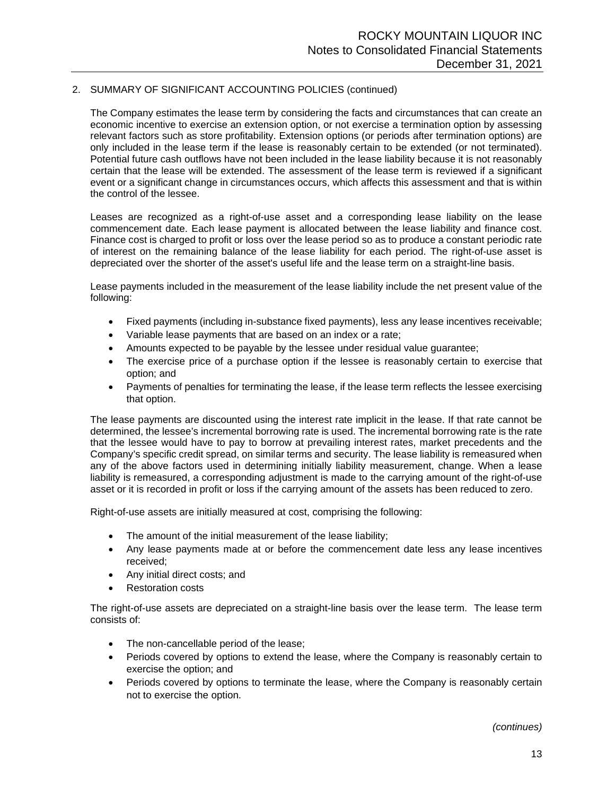The Company estimates the lease term by considering the facts and circumstances that can create an economic incentive to exercise an extension option, or not exercise a termination option by assessing relevant factors such as store profitability. Extension options (or periods after termination options) are only included in the lease term if the lease is reasonably certain to be extended (or not terminated). Potential future cash outflows have not been included in the lease liability because it is not reasonably certain that the lease will be extended. The assessment of the lease term is reviewed if a significant event or a significant change in circumstances occurs, which affects this assessment and that is within the control of the lessee.

Leases are recognized as a right-of-use asset and a corresponding lease liability on the lease commencement date. Each lease payment is allocated between the lease liability and finance cost. Finance cost is charged to profit or loss over the lease period so as to produce a constant periodic rate of interest on the remaining balance of the lease liability for each period. The right-of-use asset is depreciated over the shorter of the asset's useful life and the lease term on a straight-line basis.

Lease payments included in the measurement of the lease liability include the net present value of the following:

- Fixed payments (including in-substance fixed payments), less any lease incentives receivable;
- Variable lease payments that are based on an index or a rate;
- Amounts expected to be payable by the lessee under residual value guarantee;
- The exercise price of a purchase option if the lessee is reasonably certain to exercise that option; and
- Payments of penalties for terminating the lease, if the lease term reflects the lessee exercising that option.

The lease payments are discounted using the interest rate implicit in the lease. If that rate cannot be determined, the lessee's incremental borrowing rate is used. The incremental borrowing rate is the rate that the lessee would have to pay to borrow at prevailing interest rates, market precedents and the Company's specific credit spread, on similar terms and security. The lease liability is remeasured when any of the above factors used in determining initially liability measurement, change. When a lease liability is remeasured, a corresponding adjustment is made to the carrying amount of the right-of-use asset or it is recorded in profit or loss if the carrying amount of the assets has been reduced to zero.

Right-of-use assets are initially measured at cost, comprising the following:

- The amount of the initial measurement of the lease liability;
- Any lease payments made at or before the commencement date less any lease incentives received;
- Any initial direct costs; and
- Restoration costs

The right-of-use assets are depreciated on a straight-line basis over the lease term. The lease term consists of:

- The non-cancellable period of the lease;
- Periods covered by options to extend the lease, where the Company is reasonably certain to exercise the option; and
- Periods covered by options to terminate the lease, where the Company is reasonably certain not to exercise the option.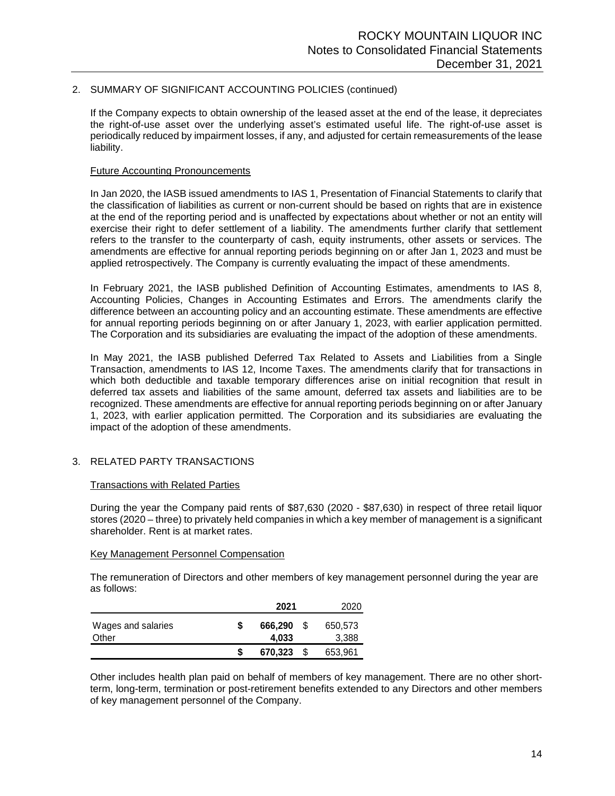If the Company expects to obtain ownership of the leased asset at the end of the lease, it depreciates the right-of-use asset over the underlying asset's estimated useful life. The right-of-use asset is periodically reduced by impairment losses, if any, and adjusted for certain remeasurements of the lease liability.

#### Future Accounting Pronouncements

In Jan 2020, the IASB issued amendments to IAS 1, Presentation of Financial Statements to clarify that the classification of liabilities as current or non-current should be based on rights that are in existence at the end of the reporting period and is unaffected by expectations about whether or not an entity will exercise their right to defer settlement of a liability. The amendments further clarify that settlement refers to the transfer to the counterparty of cash, equity instruments, other assets or services. The amendments are effective for annual reporting periods beginning on or after Jan 1, 2023 and must be applied retrospectively. The Company is currently evaluating the impact of these amendments.

In February 2021, the IASB published Definition of Accounting Estimates, amendments to IAS 8, Accounting Policies, Changes in Accounting Estimates and Errors. The amendments clarify the difference between an accounting policy and an accounting estimate. These amendments are effective for annual reporting periods beginning on or after January 1, 2023, with earlier application permitted. The Corporation and its subsidiaries are evaluating the impact of the adoption of these amendments.

In May 2021, the IASB published Deferred Tax Related to Assets and Liabilities from a Single Transaction, amendments to IAS 12, Income Taxes. The amendments clarify that for transactions in which both deductible and taxable temporary differences arise on initial recognition that result in deferred tax assets and liabilities of the same amount, deferred tax assets and liabilities are to be recognized. These amendments are effective for annual reporting periods beginning on or after January 1, 2023, with earlier application permitted. The Corporation and its subsidiaries are evaluating the impact of the adoption of these amendments.

#### 3. RELATED PARTY TRANSACTIONS

#### Transactions with Related Parties

During the year the Company paid rents of \$87,630 (2020 - \$87,630) in respect of three retail liquor stores (2020 – three) to privately held companies in which a key member of management is a significant shareholder. Rent is at market rates.

#### Key Management Personnel Compensation

The remuneration of Directors and other members of key management personnel during the year are as follows:

|                             |   | 2021             | 2020 |                  |
|-----------------------------|---|------------------|------|------------------|
| Wages and salaries<br>Other |   | 666,290<br>4,033 |      | 650,573<br>3,388 |
|                             | S | 670,323          |      | 653,961          |

Other includes health plan paid on behalf of members of key management. There are no other shortterm, long-term, termination or post-retirement benefits extended to any Directors and other members of key management personnel of the Company.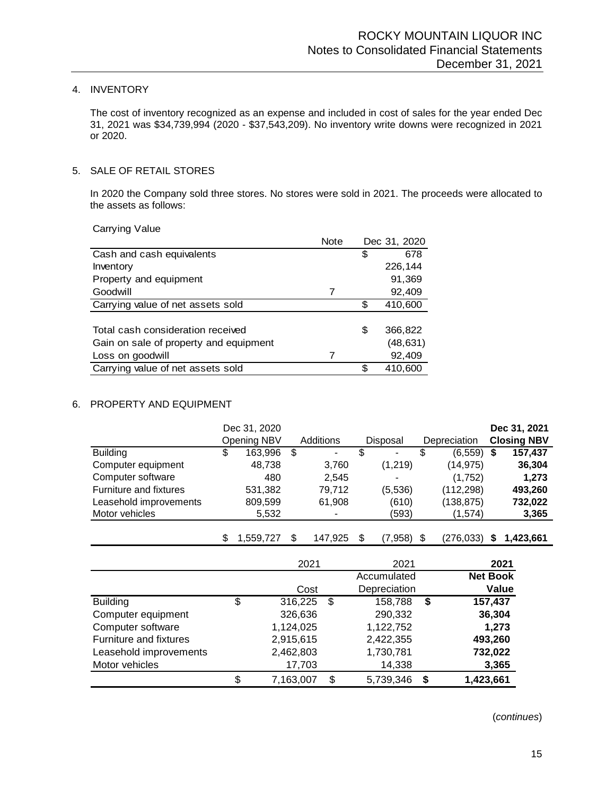#### 4. INVENTORY

The cost of inventory recognized as an expense and included in cost of sales for the year ended Dec 31, 2021 was \$34,739,994 (2020 - \$37,543,209). No inventory write downs were recognized in 2021 or 2020.

#### 5. SALE OF RETAIL STORES

In 2020 the Company sold three stores. No stores were sold in 2021. The proceeds were allocated to the assets as follows:

| Carrying Value |  |
|----------------|--|
|                |  |

|                                        | <b>Note</b> | Dec 31, 2020 |           |
|----------------------------------------|-------------|--------------|-----------|
| Cash and cash equivalents              |             | S            | 678       |
| Inventory                              |             |              | 226,144   |
| Property and equipment                 |             |              | 91,369    |
| Goodwill                               |             |              | 92,409    |
| Carrying value of net assets sold      |             | ß.           | 410,600   |
|                                        |             |              |           |
| Total cash consideration received      |             | S            | 366,822   |
| Gain on sale of property and equipment |             |              | (48, 631) |
| Loss on goodwill                       |             |              | 92,409    |
| Carrying value of net assets sold      |             | \$.          | 410,600   |

#### 6. PROPERTY AND EQUIPMENT

|                               | Dec 31, 2020<br>Opening NBV |           | Additions | Disposal           | Depreciation    |         | Dec 31, 2021<br><b>Closing NBV</b> |
|-------------------------------|-----------------------------|-----------|-----------|--------------------|-----------------|---------|------------------------------------|
| <b>Building</b>               | \$<br>163,996               | \$        |           | \$                 | \$<br>(6, 559)  | \$      | 157,437                            |
| Computer equipment            | 48,738                      |           | 3,760     | (1,219)            | (14, 975)       |         | 36,304                             |
| Computer software             | 480                         |           | 2,545     |                    | (1,752)         |         | 1,273                              |
| <b>Furniture and fixtures</b> | 531,382                     |           | 79,712    | (5,536)            | (112, 298)      |         | 493,260                            |
| Leasehold improvements        | 809,599                     |           | 61,908    | (610)              | (138, 875)      |         | 732,022                            |
| Motor vehicles                | 5,532                       |           |           | (593)              | (1, 574)        |         | 3,365                              |
|                               | \$<br>1,559,727             | \$        | 147,925   | \$<br>$(7,958)$ \$ | $(276, 033)$ \$ |         | 1,423,661                          |
|                               |                             |           | 2021      | 2021               |                 |         | 2021                               |
|                               |                             |           |           | Accumulated        | <b>Net Book</b> |         |                                    |
|                               |                             |           | Cost      | Depreciation       |                 |         | Value                              |
| <b>Building</b>               | \$                          | 316,225   | \$        | 158,788            | \$              | 157,437 |                                    |
| Computer equipment            |                             | 326,636   |           | 290,332            |                 | 36,304  |                                    |
| Computer software             |                             | 1,124,025 |           | 1,122,752          |                 | 1,273   |                                    |

Furniture and fixtures 2,915,615 2,422,355 **493,260** Leasehold improvements 2,462,803 1,730,781 **732,022** Motor vehicles **17,703** 14,338 **3,365** \$ 7,163,007 \$ 5,739,346 **\$ 1,423,661**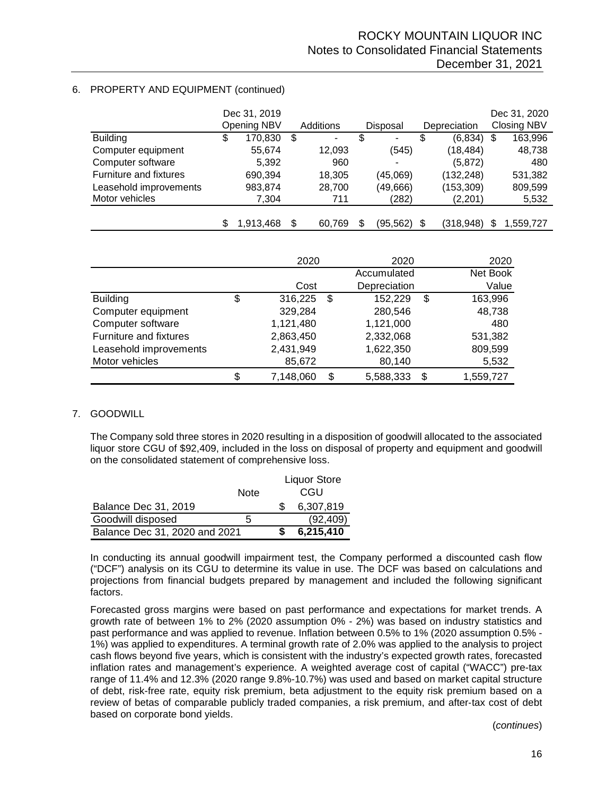### 6. PROPERTY AND EQUIPMENT (continued)

|                        | Dec 31, 2019<br>Opening NBV |           |    | Additions | Disposal |                              |      | Depreciation |    | Dec 31, 2020<br><b>Closing NBV</b> |
|------------------------|-----------------------------|-----------|----|-----------|----------|------------------------------|------|--------------|----|------------------------------------|
| <b>Building</b>        | \$                          | 170,830   | \$ | ۰         | \$       | $\qquad \qquad \blacksquare$ | \$   | (6, 834)     | S. | 163,996                            |
| Computer equipment     |                             | 55,674    |    | 12,093    |          | (545)                        |      | (18, 484)    |    | 48,738                             |
| Computer software      |                             | 5,392     |    | 960       |          | ۰                            |      | (5, 872)     |    | 480                                |
| Furniture and fixtures |                             | 690,394   |    | 18,305    |          | (45,069)                     |      | (132, 248)   |    | 531,382                            |
| Leasehold improvements |                             | 983,874   |    | 28,700    |          | (49,666)                     |      | (153, 309)   |    | 809,599                            |
| Motor vehicles         |                             | 7,304     |    | 711       |          | (282)                        |      | (2,201)      |    | 5,532                              |
|                        | S                           | 1.913.468 | S  | 60.769    | S        | (95,562)                     | - \$ | (318, 948)   | S  | 1,559,727                          |

|                        | 2020            | 2020            | 2020            |
|------------------------|-----------------|-----------------|-----------------|
|                        |                 | Accumulated     | Net Book        |
|                        | Cost            | Depreciation    | Value           |
| <b>Building</b>        | \$<br>316,225   | \$<br>152,229   | \$<br>163,996   |
| Computer equipment     | 329,284         | 280,546         | 48,738          |
| Computer software      | 1,121,480       | 1,121,000       | 480             |
| Furniture and fixtures | 2,863,450       | 2,332,068       | 531,382         |
| Leasehold improvements | 2,431,949       | 1,622,350       | 809,599         |
| Motor vehicles         | 85,672          | 80,140          | 5,532           |
|                        | \$<br>7,148,060 | \$<br>5,588,333 | \$<br>1,559,727 |

#### 7. GOODWILL

The Company sold three stores in 2020 resulting in a disposition of goodwill allocated to the associated liquor store CGU of \$92,409, included in the loss on disposal of property and equipment and goodwill on the consolidated statement of comprehensive loss.

|                               |             | <b>Liquor Store</b> |
|-------------------------------|-------------|---------------------|
|                               | <b>Note</b> | CGU                 |
| <b>Balance Dec 31, 2019</b>   |             | 6,307,819           |
| Goodwill disposed             | :5          | (92, 409)           |
| Balance Dec 31, 2020 and 2021 |             | 6,215,410           |

In conducting its annual goodwill impairment test, the Company performed a discounted cash flow ("DCF") analysis on its CGU to determine its value in use. The DCF was based on calculations and projections from financial budgets prepared by management and included the following significant factors.

Forecasted gross margins were based on past performance and expectations for market trends. A growth rate of between 1% to 2% (2020 assumption 0% - 2%) was based on industry statistics and past performance and was applied to revenue. Inflation between 0.5% to 1% (2020 assumption 0.5% - 1%) was applied to expenditures. A terminal growth rate of 2.0% was applied to the analysis to project cash flows beyond five years, which is consistent with the industry's expected growth rates, forecasted inflation rates and management's experience. A weighted average cost of capital ("WACC") pre-tax range of 11.4% and 12.3% (2020 range 9.8%-10.7%) was used and based on market capital structure of debt, risk-free rate, equity risk premium, beta adjustment to the equity risk premium based on a review of betas of comparable publicly traded companies, a risk premium, and after-tax cost of debt based on corporate bond yields.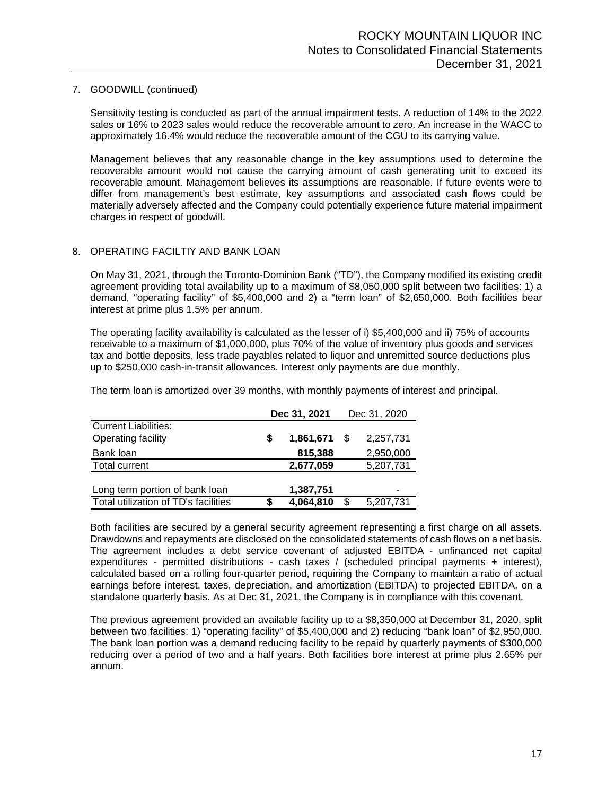#### 7. GOODWILL (continued)

Sensitivity testing is conducted as part of the annual impairment tests. A reduction of 14% to the 2022 sales or 16% to 2023 sales would reduce the recoverable amount to zero. An increase in the WACC to approximately 16.4% would reduce the recoverable amount of the CGU to its carrying value.

Management believes that any reasonable change in the key assumptions used to determine the recoverable amount would not cause the carrying amount of cash generating unit to exceed its recoverable amount. Management believes its assumptions are reasonable. If future events were to differ from management's best estimate, key assumptions and associated cash flows could be materially adversely affected and the Company could potentially experience future material impairment charges in respect of goodwill.

#### 8. OPERATING FACILTIY AND BANK LOAN

On May 31, 2021, through the Toronto-Dominion Bank ("TD"), the Company modified its existing credit agreement providing total availability up to a maximum of \$8,050,000 split between two facilities: 1) a demand, "operating facility" of \$5,400,000 and 2) a "term loan" of \$2,650,000. Both facilities bear interest at prime plus 1.5% per annum.

The operating facility availability is calculated as the lesser of i) \$5,400,000 and ii) 75% of accounts receivable to a maximum of \$1,000,000, plus 70% of the value of inventory plus goods and services tax and bottle deposits, less trade payables related to liquor and unremitted source deductions plus up to \$250,000 cash-in-transit allowances. Interest only payments are due monthly.

The term loan is amortized over 39 months, with monthly payments of interest and principal.

|                                      | Dec 31, 2021 |           |    | Dec 31, 2020 |
|--------------------------------------|--------------|-----------|----|--------------|
| <b>Current Liabilities:</b>          |              |           |    |              |
| <b>Operating facility</b>            | S            | 1,861,671 |    | 2,257,731    |
| Bank loan                            |              | 815,388   |    | 2,950,000    |
| <b>Total current</b>                 |              | 2,677,059 |    | 5,207,731    |
|                                      |              |           |    |              |
| Long term portion of bank loan       |              | 1,387,751 |    |              |
| Total utilization of TD's facilities | S            | 4,064,810 | -S | 5,207,731    |

Both facilities are secured by a general security agreement representing a first charge on all assets. Drawdowns and repayments are disclosed on the consolidated statements of cash flows on a net basis. The agreement includes a debt service covenant of adjusted EBITDA - unfinanced net capital expenditures - permitted distributions - cash taxes / (scheduled principal payments + interest), calculated based on a rolling four-quarter period, requiring the Company to maintain a ratio of actual earnings before interest, taxes, depreciation, and amortization (EBITDA) to projected EBITDA, on a standalone quarterly basis. As at Dec 31, 2021, the Company is in compliance with this covenant.

The previous agreement provided an available facility up to a \$8,350,000 at December 31, 2020, split between two facilities: 1) "operating facility" of \$5,400,000 and 2) reducing "bank loan" of \$2,950,000. The bank loan portion was a demand reducing facility to be repaid by quarterly payments of \$300,000 reducing over a period of two and a half years. Both facilities bore interest at prime plus 2.65% per annum.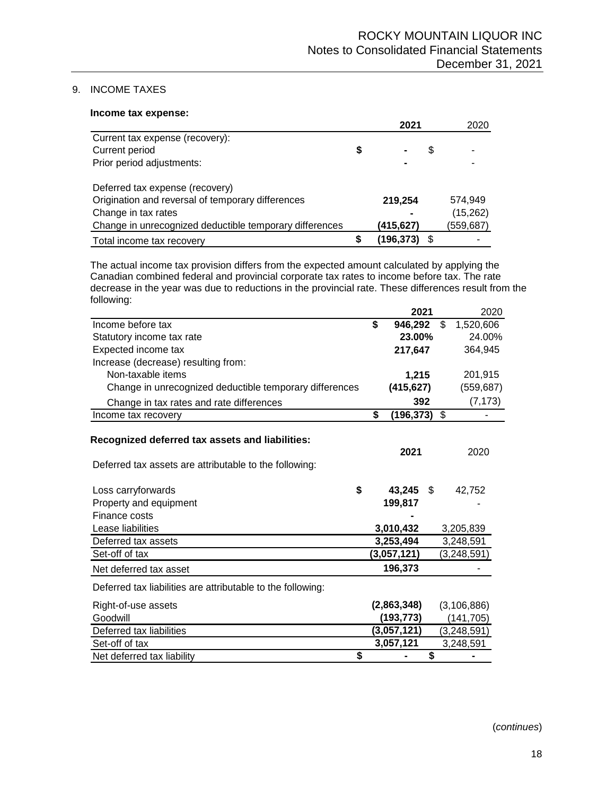### 9. INCOME TAXES

#### **Income tax expense:**

|                                                         |   | 2021           |   | 2020      |
|---------------------------------------------------------|---|----------------|---|-----------|
| Current tax expense (recovery):                         |   |                |   |           |
| Current period                                          | S | $\blacksquare$ | S |           |
| Prior period adjustments:                               |   | $\blacksquare$ |   |           |
| Deferred tax expense (recovery)                         |   |                |   |           |
| Origination and reversal of temporary differences       |   | 219,254        |   | 574,949   |
| Change in tax rates                                     |   |                |   | (15,262)  |
| Change in unrecognized deductible temporary differences |   | (415,627)      |   | (559,687) |
| Total income tax recovery                               |   | (196,373)      |   |           |

The actual income tax provision differs from the expected amount calculated by applying the Canadian combined federal and provincial corporate tax rates to income before tax. The rate decrease in the year was due to reductions in the provincial rate. These differences result from the following:

|                                                             |    |                 | 2021 | 2020            |
|-------------------------------------------------------------|----|-----------------|------|-----------------|
| Income before tax                                           | \$ | 946,292         |      | \$<br>1,520,606 |
| Statutory income tax rate                                   |    | 23.00%          |      | 24.00%          |
| Expected income tax                                         |    | 217,647         |      | 364,945         |
| Increase (decrease) resulting from:                         |    |                 |      |                 |
| Non-taxable items                                           |    | 1,215           |      | 201,915         |
| Change in unrecognized deductible temporary differences     |    | (415, 627)      |      | (559, 687)      |
| Change in tax rates and rate differences                    |    |                 | 392  | (7, 173)        |
| Income tax recovery                                         | \$ | $(196, 373)$ \$ |      |                 |
| Recognized deferred tax assets and liabilities:             |    | 2021            |      | 2020            |
| Deferred tax assets are attributable to the following:      |    |                 |      |                 |
| \$<br>Loss carryforwards                                    |    | 43,245          | \$   | 42,752          |
| Property and equipment                                      |    | 199,817         |      |                 |
| Finance costs                                               |    |                 |      |                 |
| Lease liabilities                                           |    | 3,010,432       |      | 3,205,839       |
| Deferred tax assets                                         |    | 3,253,494       |      | 3,248,591       |
| Set-off of tax                                              |    | (3,057,121)     |      | (3,248,591)     |
| Net deferred tax asset                                      |    | 196,373         |      |                 |
| Deferred tax liabilities are attributable to the following: |    |                 |      |                 |
| Right-of-use assets                                         |    | (2,863,348)     |      | (3, 106, 886)   |
| Goodwill                                                    |    | (193, 773)      |      | (141, 705)      |
| Deferred tax liabilities                                    |    | (3,057,121)     |      | (3,248,591)     |
| Set-off of tax                                              |    | 3,057,121       |      | 3,248,591       |
| \$<br>Net deferred tax liability                            |    |                 | \$   |                 |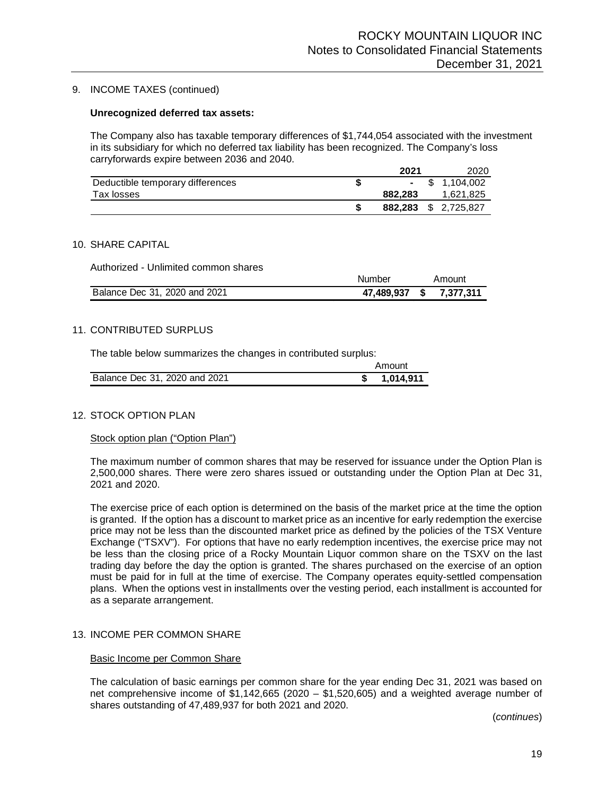#### 9. INCOME TAXES (continued)

#### **Unrecognized deferred tax assets:**

The Company also has taxable temporary differences of \$1,744,054 associated with the investment in its subsidiary for which no deferred tax liability has been recognized. The Company's loss carryforwards expire between 2036 and 2040.

|                                  | 2021    | 2020                 |
|----------------------------------|---------|----------------------|
| Deductible temporary differences |         | \$1.104.002          |
| Tax losses                       | 882.283 | 1,621,825            |
|                                  |         | 882,283 \$ 2,725,827 |

#### 10. SHARE CAPITAL

Authorized - Unlimited common shares

|                               | Number     | Amount    |
|-------------------------------|------------|-----------|
| Balance Dec 31, 2020 and 2021 | 47,489,937 | 7.377.311 |

#### 11. CONTRIBUTED SURPLUS

The table below summarizes the changes in contributed surplus:

|                               | Amount    |
|-------------------------------|-----------|
| Balance Dec 31, 2020 and 2021 | 1.014.911 |

#### 12. STOCK OPTION PLAN

#### Stock option plan ("Option Plan")

The maximum number of common shares that may be reserved for issuance under the Option Plan is 2,500,000 shares. There were zero shares issued or outstanding under the Option Plan at Dec 31, 2021 and 2020.

The exercise price of each option is determined on the basis of the market price at the time the option is granted. If the option has a discount to market price as an incentive for early redemption the exercise price may not be less than the discounted market price as defined by the policies of the TSX Venture Exchange ("TSXV"). For options that have no early redemption incentives, the exercise price may not be less than the closing price of a Rocky Mountain Liquor common share on the TSXV on the last trading day before the day the option is granted. The shares purchased on the exercise of an option must be paid for in full at the time of exercise. The Company operates equity-settled compensation plans. When the options vest in installments over the vesting period, each installment is accounted for as a separate arrangement.

#### 13. INCOME PER COMMON SHARE

#### Basic Income per Common Share

The calculation of basic earnings per common share for the year ending Dec 31, 2021 was based on net comprehensive income of \$1,142,665 (2020 – \$1,520,605) and a weighted average number of shares outstanding of 47,489,937 for both 2021 and 2020.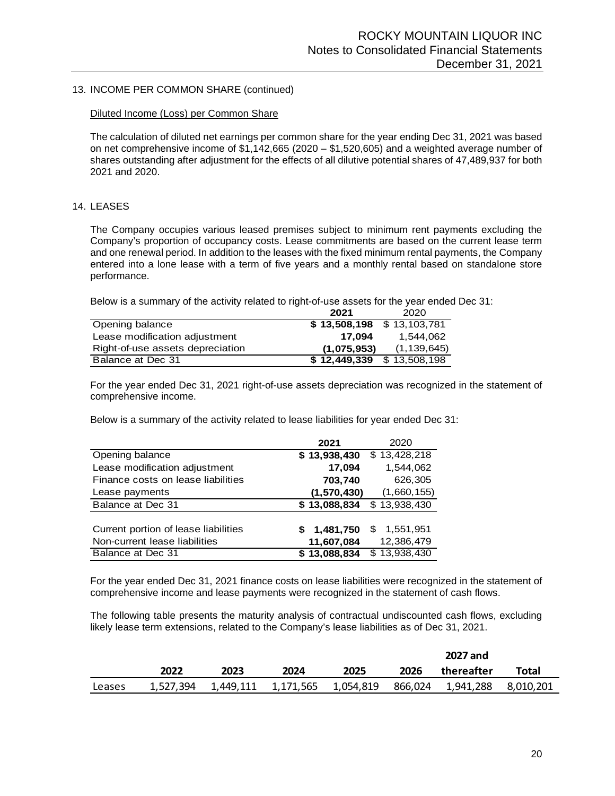#### 13. INCOME PER COMMON SHARE (continued)

#### Diluted Income (Loss) per Common Share

The calculation of diluted net earnings per common share for the year ending Dec 31, 2021 was based on net comprehensive income of \$1,142,665 (2020 – \$1,520,605) and a weighted average number of shares outstanding after adjustment for the effects of all dilutive potential shares of 47,489,937 for both 2021 and 2020.

#### 14. LEASES

The Company occupies various leased premises subject to minimum rent payments excluding the Company's proportion of occupancy costs. Lease commitments are based on the current lease term and one renewal period. In addition to the leases with the fixed minimum rental payments, the Company entered into a lone lease with a term of five years and a monthly rental based on standalone store performance.

Below is a summary of the activity related to right-of-use assets for the year ended Dec 31:

|                                  | 2021                        | 2020          |
|----------------------------------|-----------------------------|---------------|
| Opening balance                  | $$13,508,198$ $$13,103,781$ |               |
| Lease modification adjustment    | 17.094                      | 1.544.062     |
| Right-of-use assets depreciation | (1,075,953)                 | (1, 139, 645) |
| Balance at Dec 31                | \$12,449,339                | \$13,508,198  |

For the year ended Dec 31, 2021 right-of-use assets depreciation was recognized in the statement of comprehensive income.

Below is a summary of the activity related to lease liabilities for year ended Dec 31:

|                                      | 2021         | 2020         |
|--------------------------------------|--------------|--------------|
| Opening balance                      | \$13,938,430 | \$13,428,218 |
| Lease modification adjustment        | 17,094       | 1,544,062    |
| Finance costs on lease liabilities   | 703,740      | 626,305      |
| Lease payments                       | (1,570,430)  | (1,660,155)  |
| Balance at Dec 31                    | \$13,088,834 | \$13,938,430 |
|                                      |              |              |
| Current portion of lease liabilities | \$1,481,750  | \$1,551,951  |
| Non-current lease liabilities        | 11,607,084   | 12,386,479   |
| Balance at Dec 31                    | \$13,088,834 | \$13,938,430 |

For the year ended Dec 31, 2021 finance costs on lease liabilities were recognized in the statement of comprehensive income and lease payments were recognized in the statement of cash flows.

The following table presents the maturity analysis of contractual undiscounted cash flows, excluding likely lease term extensions, related to the Company's lease liabilities as of Dec 31, 2021.

|        |           |           |           |           |         | 2027 and   |           |
|--------|-----------|-----------|-----------|-----------|---------|------------|-----------|
|        | 2022      | 2023      | 2024      | 2025      | 2026    | thereafter | Total     |
| Leases | 1,527,394 | 1,449,111 | 1,171,565 | 1,054,819 | 866,024 | 1,941,288  | 8,010,201 |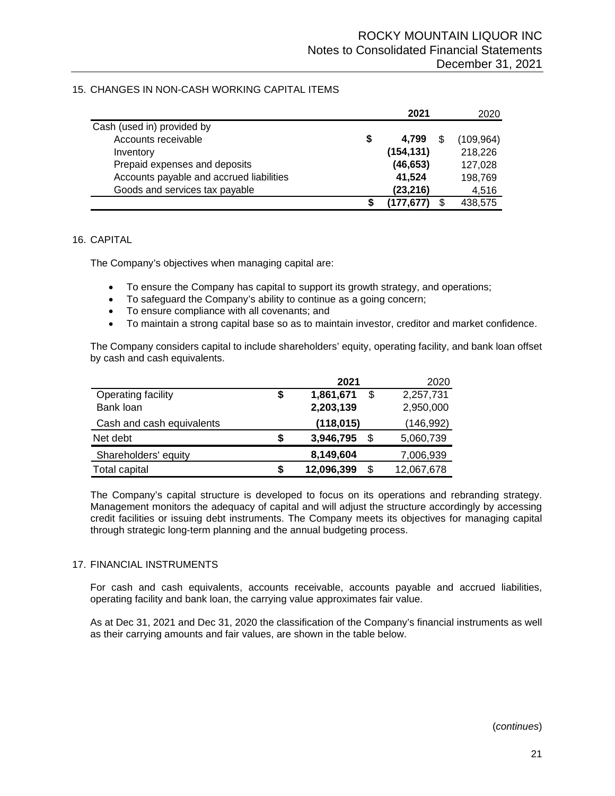#### 15. CHANGES IN NON-CASH WORKING CAPITAL ITEMS

|                                          | 2021        | 2020       |
|------------------------------------------|-------------|------------|
| Cash (used in) provided by               |             |            |
| Accounts receivable                      | \$<br>4.799 | (109, 964) |
| Inventory                                | (154, 131)  | 218,226    |
| Prepaid expenses and deposits            | (46, 653)   | 127,028    |
| Accounts payable and accrued liabilities | 41,524      | 198,769    |
| Goods and services tax payable           | (23, 216)   | 4,516      |
|                                          | (177,677    | 438,575    |

#### 16. CAPITAL

The Company's objectives when managing capital are:

- To ensure the Company has capital to support its growth strategy, and operations;
- To safeguard the Company's ability to continue as a going concern;
- To ensure compliance with all covenants; and
- To maintain a strong capital base so as to maintain investor, creditor and market confidence.

The Company considers capital to include shareholders' equity, operating facility, and bank loan offset by cash and cash equivalents.

|                           |    | 2021             | 2020           |
|---------------------------|----|------------------|----------------|
| Operating facility        | \$ | 1,861,671        | 2,257,731<br>S |
| Bank loan                 |    | 2,203,139        | 2,950,000      |
| Cash and cash equivalents |    | (118, 015)       | (146,992)      |
| Net debt                  | S  | 3,946,795<br>S   | 5,060,739      |
| Shareholders' equity      |    | 8,149,604        | 7,006,939      |
| Total capital             | S  | 12,096,399<br>S. | 12,067,678     |

The Company's capital structure is developed to focus on its operations and rebranding strategy. Management monitors the adequacy of capital and will adjust the structure accordingly by accessing credit facilities or issuing debt instruments. The Company meets its objectives for managing capital through strategic long-term planning and the annual budgeting process.

#### 17. FINANCIAL INSTRUMENTS

For cash and cash equivalents, accounts receivable, accounts payable and accrued liabilities, operating facility and bank loan, the carrying value approximates fair value.

As at Dec 31, 2021 and Dec 31, 2020 the classification of the Company's financial instruments as well as their carrying amounts and fair values, are shown in the table below.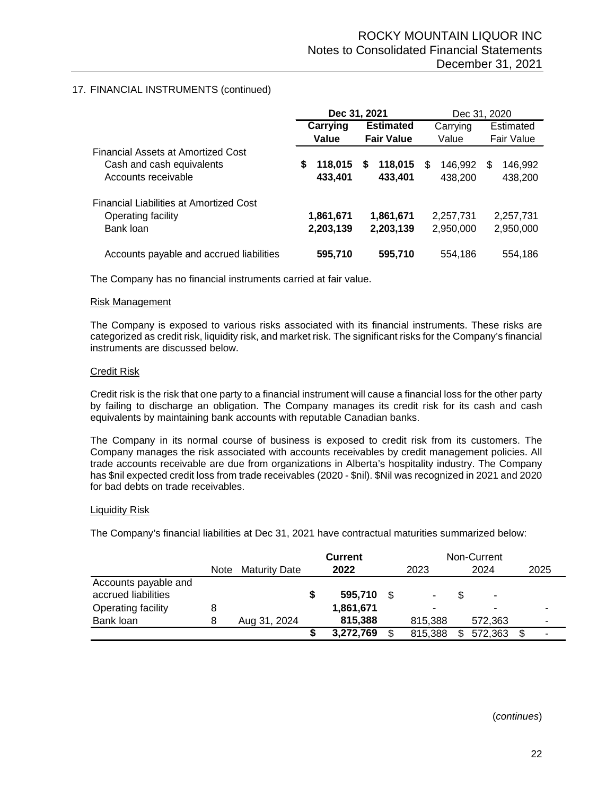#### 17. FINANCIAL INSTRUMENTS (continued)

|                                                | Dec 31, 2021             |           |                  |                   | Dec 31, 2020 |           |                   |           |  |
|------------------------------------------------|--------------------------|-----------|------------------|-------------------|--------------|-----------|-------------------|-----------|--|
|                                                | Carrying<br><b>Value</b> |           | <b>Estimated</b> |                   | Carrying     |           | <b>Estimated</b>  |           |  |
|                                                |                          |           |                  | <b>Fair Value</b> | Value        |           | <b>Fair Value</b> |           |  |
| <b>Financial Assets at Amortized Cost</b>      |                          |           |                  |                   |              |           |                   |           |  |
| Cash and cash equivalents                      | S                        | 118,015   | \$               | 118,015           | S            | 146.992   | S                 | 146,992   |  |
| Accounts receivable                            |                          | 433,401   |                  | 433,401           |              | 438,200   |                   | 438,200   |  |
| <b>Financial Liabilities at Amortized Cost</b> |                          |           |                  |                   |              |           |                   |           |  |
| Operating facility                             | 1,861,671                |           | 1,861,671        |                   | 2,257,731    |           | 2,257,731         |           |  |
| Bank loan                                      |                          | 2,203,139 |                  | 2,203,139         |              | 2,950,000 |                   | 2,950,000 |  |
| Accounts payable and accrued liabilities       |                          | 595,710   |                  | 595,710           |              | 554.186   |                   | 554,186   |  |

The Company has no financial instruments carried at fair value.

#### Risk Management

The Company is exposed to various risks associated with its financial instruments. These risks are categorized as credit risk, liquidity risk, and market risk. The significant risks for the Company's financial instruments are discussed below.

#### Credit Risk

Credit risk is the risk that one party to a financial instrument will cause a financial loss for the other party by failing to discharge an obligation. The Company manages its credit risk for its cash and cash equivalents by maintaining bank accounts with reputable Canadian banks.

The Company in its normal course of business is exposed to credit risk from its customers. The Company manages the risk associated with accounts receivables by credit management policies. All trade accounts receivable are due from organizations in Alberta's hospitality industry. The Company has \$nil expected credit loss from trade receivables (2020 - \$nil). \$Nil was recognized in 2021 and 2020 for bad debts on trade receivables.

#### Liquidity Risk

The Company's financial liabilities at Dec 31, 2021 have contractual maturities summarized below:

|                      |      |                      |  | <b>Current</b> | Non-Current |         |  |         |    |      |  |
|----------------------|------|----------------------|--|----------------|-------------|---------|--|---------|----|------|--|
|                      | Note | <b>Maturity Date</b> |  | 2022           |             | 2023    |  | 2024    |    | 2025 |  |
| Accounts payable and |      |                      |  |                |             |         |  |         |    |      |  |
| accrued liabilities  |      |                      |  | 595,710        |             |         |  | ٠       |    |      |  |
| Operating facility   |      |                      |  | 1,861,671      |             |         |  |         |    |      |  |
| Bank loan            |      | Aug 31, 2024         |  | 815,388        |             | 815,388 |  | 572,363 |    |      |  |
|                      |      |                      |  | 3,272,769      |             | 815,388 |  | 572,363 | \$ |      |  |